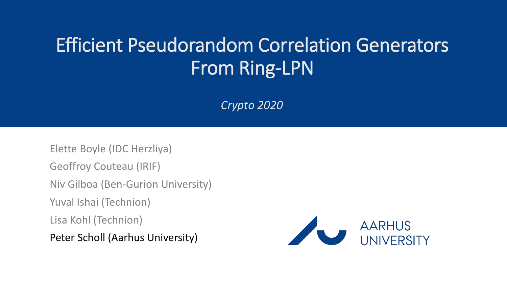#### Efficient Pseudorandom Correlation Generators From Ring-LPN

*Crypto 2020*

Elette Boyle (IDC Herzliya) Geoffroy Couteau (IRIF) Niv Gilboa (Ben-Gurion University) Yuval Ishai (Technion) Lisa Kohl (Technion) Peter Scholl (Aarhus University)

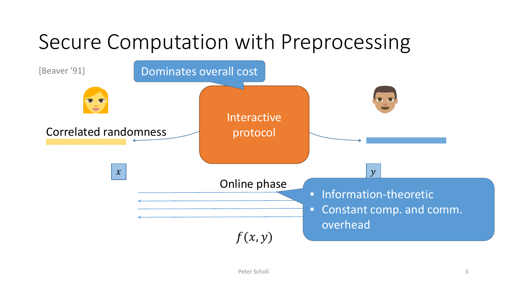# Secure Computation with Preprocessing

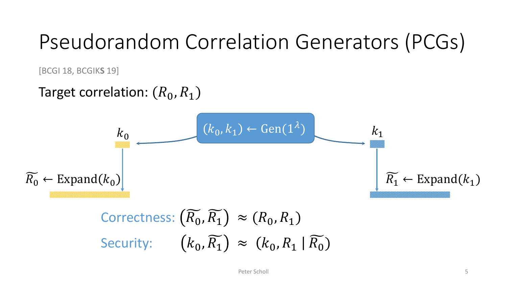# Pseudorandom Correlation Generators (PCGs)

[BCGI 18, BCGIK**S** 19]

#### Target correlation:  $(R_0, R_1)$

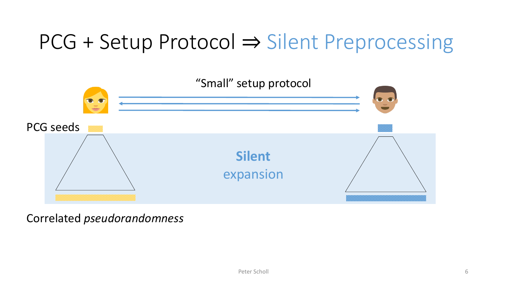# PCG + Setup Protocol ⇒ Silent Preprocessing



Correlated *pseudorandomness*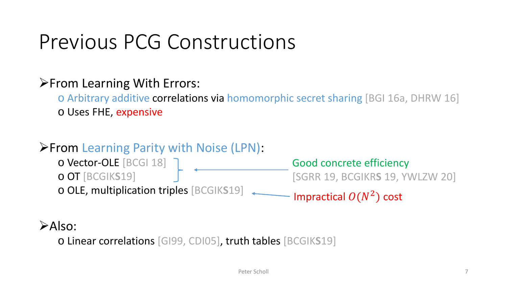### Previous PCG Constructions

#### **From Learning With Errors:**

o Arbitrary additive correlations via homomorphic secret sharing [BGI 16a, DHRW 16] o Uses FHE, expensive

#### **From Learning Parity with Noise (LPN):**

o Vector-OLE [BCGI 18] o OT [BCGIK**S**19] o OLE, multiplication triples [BCGIK**S**19] Good concrete efficiency [SGRR 19, BCGIKR**S** 19, YWLZW 20] Impractical  $O(N^2)$  cost

#### $\triangleright$ Also:

o Linear correlations [GI99, CDI05], truth tables [BCGIK**S**19]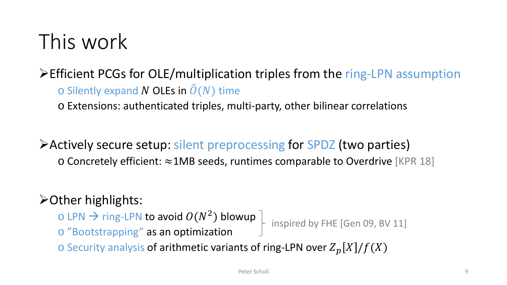# This work

#### Efficient PCGs for OLE/multiplication triples from the ring-LPN assumption

 $\circ$  Silently expand N OLEs in  $\tilde{O}(N)$  time

o Extensions: authenticated triples, multi-party, other bilinear correlations

#### Actively secure setup: silent preprocessing for SPDZ (two parties)

o Concretely efficient: ≈1MB seeds, runtimes comparable to Overdrive [KPR 18]

#### Other highlights:

o LPN → ring-LPN to avoid  $O(N^2)$  blowup  $\downarrow$  inspired by FHE [Gen 09, BV 11] o "Bootstrapping" as an optimization

 $\circ$  Security analysis of arithmetic variants of ring-LPN over  $Z_p[X]/f(X)$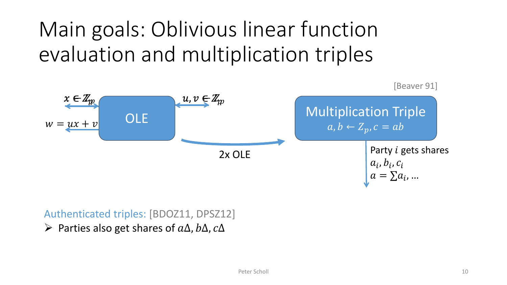# Main goals: Oblivious linear function evaluation and multiplication triples



#### Authenticated triples: [BDOZ11, DPSZ12]

 $\triangleright$  Parties also get shares of  $a\Delta$ ,  $b\Delta$ ,  $c\Delta$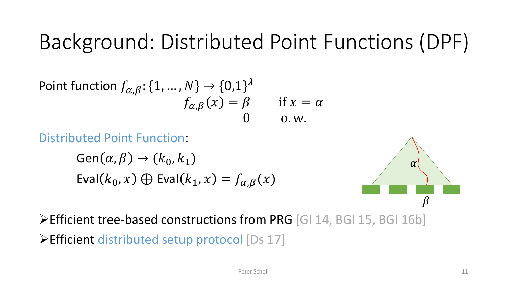# Background: Distributed Point Functions (DPF)

Point function 
$$
f_{\alpha,\beta}
$$
: {1, ..., N}  $\rightarrow$  {0,1}<sup>λ</sup>  
\n $f_{\alpha,\beta}(x) = \beta$  if x =  $\alpha$   
\n0 on w.

Distributed Point Function:

 $Gen(\alpha, \beta) \rightarrow (k_0, k_1)$ Eval $(k_0, x) \oplus$  Eval $(k_1, x) = f_{\alpha, \beta}(x)$ 



Efficient tree-based constructions from PRG [GI 14, BGI 15, BGI 16b] Efficient distributed setup protocol [Ds 17]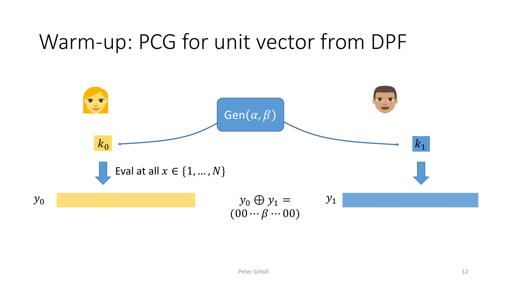#### Warm-up: PCG for unit vector from DPF

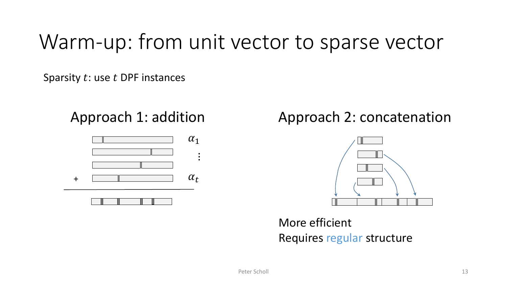### Warm-up: from unit vector to sparse vector

Sparsity  $t$ : use  $t$  DPF instances



#### Approach 1: addition Approach 2: concatenation



More efficient Requires regular structure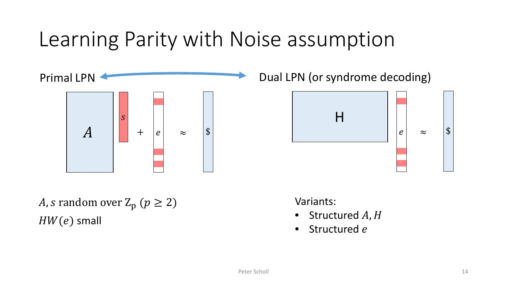### Learning Parity with Noise assumption



Dual LPN (or syndrome decoding)



*A*, *s* random over  $Z_p$  ( $p \ge 2$ )  $HW(e)$  small

Variants:

- Structured  $A, H$
- Structured e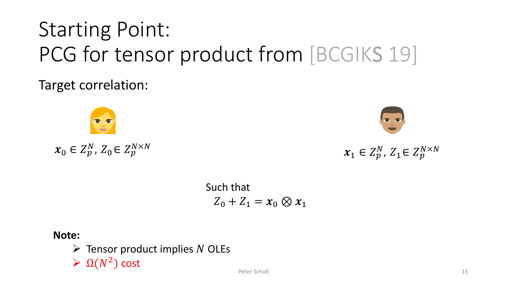# Starting Point: PCG for tensor product from [BCGIKS 19]

Target correlation:

$$
x_0\in Z_p^N,\,Z_0\!\in Z_p^{N\times N}
$$

$$
\boldsymbol{x}_1 \in Z_p^N, \, Z_1 \in Z_p^{N \times N}
$$

Such that  $Z_0 + Z_1 = x_0 \otimes x_1$ 

**Note:**

 $\triangleright$  Tensor product implies N OLEs

 $\sum \Omega(N^2)$  cost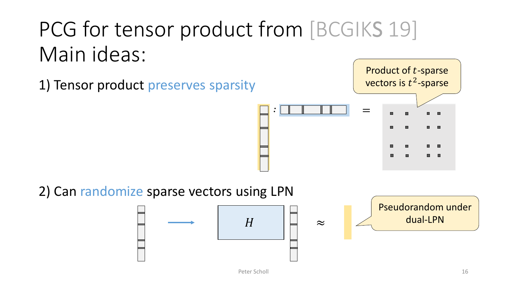# PCG for tensor product from [BCGIKS 19] Main ideas:

1) Tensor product preserves sparsity



2) Can randomize sparse vectors using LPN



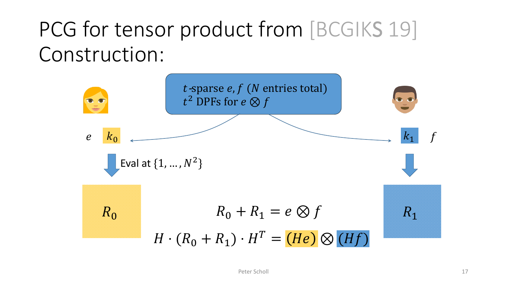# PCG for tensor product from [BCGIKS 19] Construction:

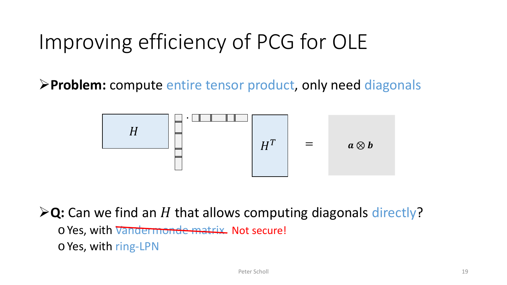# Improving efficiency of PCG for OLE

**Problem:** compute entire tensor product, only need diagonals



 $\triangleright$ Q: Can we find an H that allows computing diagonals directly?

- o Yes, with Vandermonde matrix Not secure!
- o Yes, with ring-LPN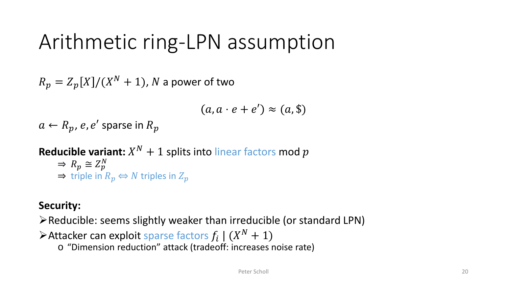### Arithmetic ring-LPN assumption

 $R_p = Z_p[X]/(X^N + 1)$ , N a power of two

$$
(a, a \cdot e + e') \approx (a, \$)
$$

 $a \leftarrow R_p, e, e'$  sparse in  $R_p$ 

**Reducible variant:**  $X^N + 1$  splits into linear factors mod p  $\Rightarrow R_p \cong Z_p^N$  $\Rightarrow$  triple in  $R_p \Leftrightarrow N$  triples in  $Z_p$ 

#### **Security:**

 $\triangleright$  Reducible: seems slightly weaker than irreducible (or standard LPN)

 $\triangleright$  Attacker can exploit sparse factors  $f_i$  |  $(X^N + 1)$ 

o "Dimension reduction" attack (tradeoff: increases noise rate)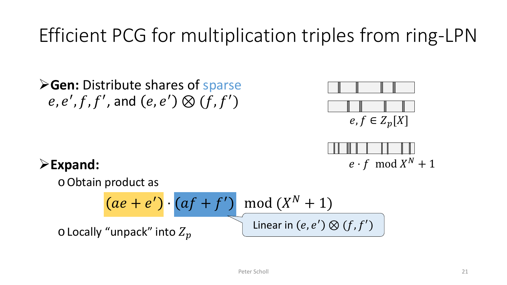#### Efficient PCG for multiplication triples from ring-LPN

**Gen: Distribute shares of sparse**  $e, e', f, f',$  and  $(e, e') \otimes (f, f')$ 





#### **Expand:**

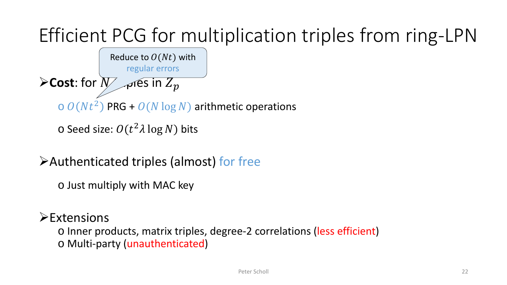## Efficient PCG for multiplication triples from ring-LPN



```
\circ Seed size: O(t^2 \lambda \log N) bits
```
Authenticated triples (almost) for free

o Just multiply with MAC key

#### $\triangleright$ Extensions

o Inner products, matrix triples, degree-2 correlations (less efficient) o Multi-party (unauthenticated)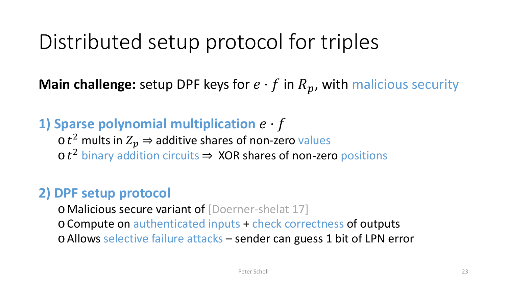## Distributed setup protocol for triples

**Main challenge:** setup DPF keys for  $e \cdot f$  in  $R_p$ , with malicious security

#### **1) Sparse polynomial multiplication**  $e \cdot f$

 $\sigma t^2$  mults in  $Z_p \Rightarrow$  additive shares of non-zero values  $\cot^2$  binary addition circuits  $\Rightarrow$  XOR shares of non-zero positions

#### **2) DPF setup protocol**

o Malicious secure variant of [Doerner-shelat 17]

o Compute on authenticated inputs + check correctness of outputs

o Allows selective failure attacks – sender can guess 1 bit of LPN error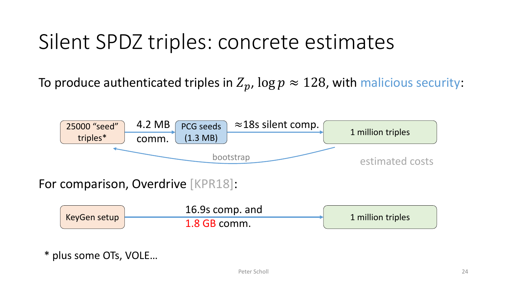## Silent SPDZ triples: concrete estimates

To produce authenticated triples in  $Z_p$ ,  $\log p \approx 128$ , with malicious security:



\* plus some OTs, VOLE…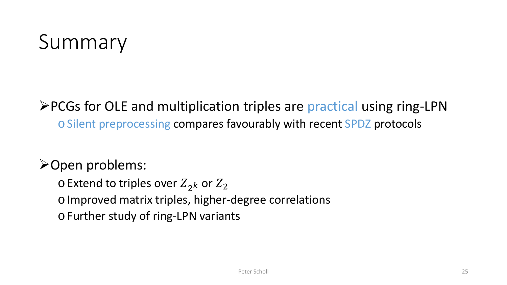# Summary

#### **≻PCGs for OLE and multiplication triples are practical using ring-LPN** o Silent preprocessing compares favourably with recent SPDZ protocols

#### Open problems:

 $\circ$  Extend to triples over  $Z_{2k}$  or  $Z_{2k}$ o Improved matrix triples, higher-degree correlations o Further study of ring-LPN variants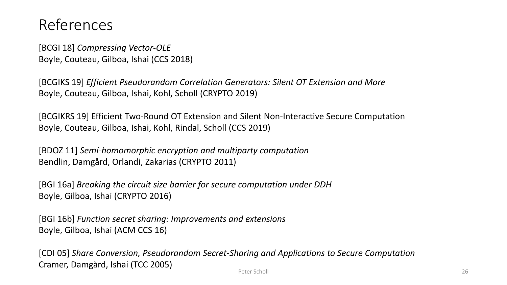#### References

[BCGI 18] *Compressing Vector-OLE* Boyle, Couteau, Gilboa, Ishai (CCS 2018)

[BCGIKS 19] *Efficient Pseudorandom Correlation Generators: Silent OT Extension and More* Boyle, Couteau, Gilboa, Ishai, Kohl, Scholl (CRYPTO 2019)

[BCGIKRS 19] Efficient Two-Round OT Extension and Silent Non-Interactive Secure Computation Boyle, Couteau, Gilboa, Ishai, Kohl, Rindal, Scholl (CCS 2019)

[BDOZ 11] *Semi-homomorphic encryption and multiparty computation* Bendlin, Damgård, Orlandi, Zakarias (CRYPTO 2011)

[BGI 16a] *Breaking the circuit size barrier for secure computation under DDH* Boyle, Gilboa, Ishai (CRYPTO 2016)

[BGI 16b] *Function secret sharing: Improvements and extensions* Boyle, Gilboa, Ishai (ACM CCS 16)

Peter Scholl 26 [CDI 05] *Share Conversion, Pseudorandom Secret-Sharing and Applications to Secure Computation* Cramer, Damgård, Ishai (TCC 2005)